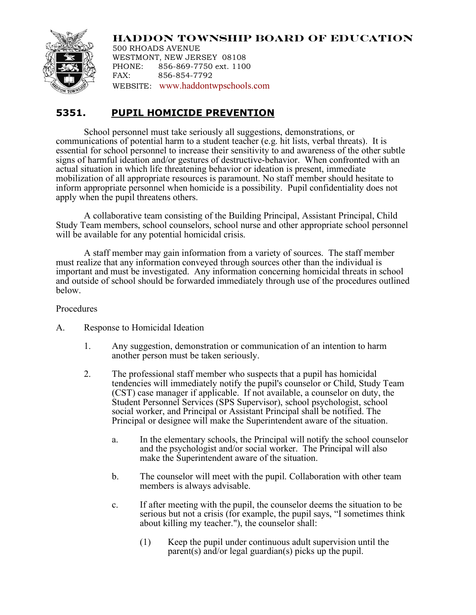

**HADDON TOWNSHIP BOARD OF EDUCATION** 500 RHOADS AVENUE WESTMONT, NEW JERSEY 08108

PHONE: 856-869-7750 ext. 1100 FAX: 856-854-7792 WEBSITE: www.haddontwpschools.com

## **5351. PUPIL HOMICIDE PREVENTION**

School personnel must take seriously all suggestions, demonstrations, or communications of potential harm to a student teacher (e.g. hit lists, verbal threats). It is essential for school personnel to increase their sensitivity to and awareness of the other subtle signs of harmful ideation and/or gestures of destructive-behavior. When confronted with an actual situation in which life threatening behavior or ideation is present, immediate mobilization of all appropriate resources is paramount. No staff member should hesitate to inform appropriate personnel when homicide is a possibility. Pupil confidentiality does not apply when the pupil threatens others.

A collaborative team consisting of the Building Principal, Assistant Principal, Child Study Team members, school counselors, school nurse and other appropriate school personnel will be available for any potential homicidal crisis.

A staff member may gain information from a variety of sources. The staff member must realize that any information conveyed through sources other than the individual is important and must be investigated. Any information concerning homicidal threats in school and outside of school should be forwarded immediately through use of the procedures outlined below.

## Procedures

- A. Response to Homicidal Ideation
	- 1. Any suggestion, demonstration or communication of an intention to harm another person must be taken seriously.
	- 2. The professional staff member who suspects that a pupil has homicidal tendencies will immediately notify the pupil's counselor or Child, Study Team (CST) case manager if applicable. If not available, a counselor on duty, the Student Personnel Services (SPS Supervisor), school psychologist, school social worker, and Principal or Assistant Principal shall be notified. The Principal or designee will make the Superintendent aware of the situation.
		- a. In the elementary schools, the Principal will notify the school counselor and the psychologist and/or social worker. The Principal will also make the Superintendent aware of the situation.
		- b. The counselor will meet with the pupil. Collaboration with other team members is always advisable.
		- c. If after meeting with the pupil, the counselor deems the situation to be serious but not a crisis (for example, the pupil says, "I sometimes think about killing my teacher."), the counselor shall:
			- (1) Keep the pupil under continuous adult supervision until the parent(s) and/or legal guardian(s) picks up the pupil.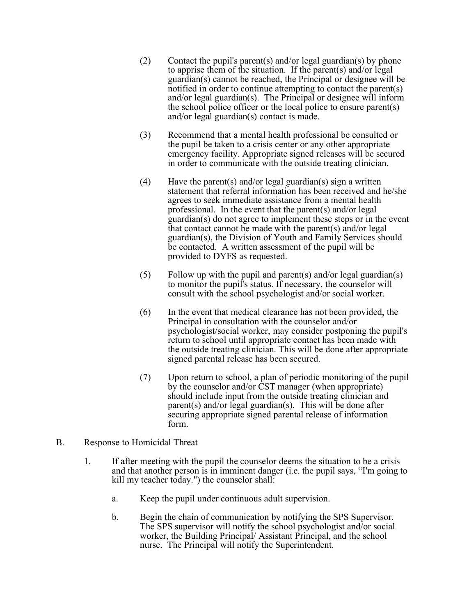- (2) Contact the pupil's parent(s) and/or legal guardian(s) by phone to apprise them of the situation. If the parent(s) and/or legal guardian(s) cannot be reached, the Principal or designee will be notified in order to continue attempting to contact the parent(s) and/or legal guardian(s). The Principal or designee will inform the school police officer or the local police to ensure parent(s) and/or legal guardian(s) contact is made.
- (3) Recommend that a mental health professional be consulted or the pupil be taken to a crisis center or any other appropriate emergency facility. Appropriate signed releases will be secured in order to communicate with the outside treating clinician.
- (4) Have the parent(s) and/or legal guardian(s) sign a written statement that referral information has been received and he/she agrees to seek immediate assistance from a mental health professional. In the event that the parent(s) and/or legal guardian(s) do not agree to implement these steps or in the event that contact cannot be made with the parent(s) and/or legal guardian(s), the Division of Youth and Family Services should be contacted. A written assessment of the pupil will be provided to DYFS as requested.
- (5) Follow up with the pupil and parent(s) and/or legal guardian(s) to monitor the pupil's status. If necessary, the counselor will consult with the school psychologist and/or social worker.
- (6) In the event that medical clearance has not been provided, the Principal in consultation with the counselor and/or psychologist/social worker, may consider postponing the pupil's return to school until appropriate contact has been made with the outside treating clinician. This will be done after appropriate signed parental release has been secured.
- (7) Upon return to school, a plan of periodic monitoring of the pupil by the counselor and/or CST manager (when appropriate) should include input from the outside treating clinician and parent(s) and/or legal guardian(s). This will be done after securing appropriate signed parental release of information form.
- B. Response to Homicidal Threat
	- 1. If after meeting with the pupil the counselor deems the situation to be a crisis and that another person is in imminent danger (i.e. the pupil says, "I'm going to kill my teacher today.") the counselor shall:
		- a. Keep the pupil under continuous adult supervision.
		- b. Begin the chain of communication by notifying the SPS Supervisor. The SPS supervisor will notify the school psychologist and/or social worker, the Building Principal/ Assistant Principal, and the school nurse. The Principal will notify the Superintendent.